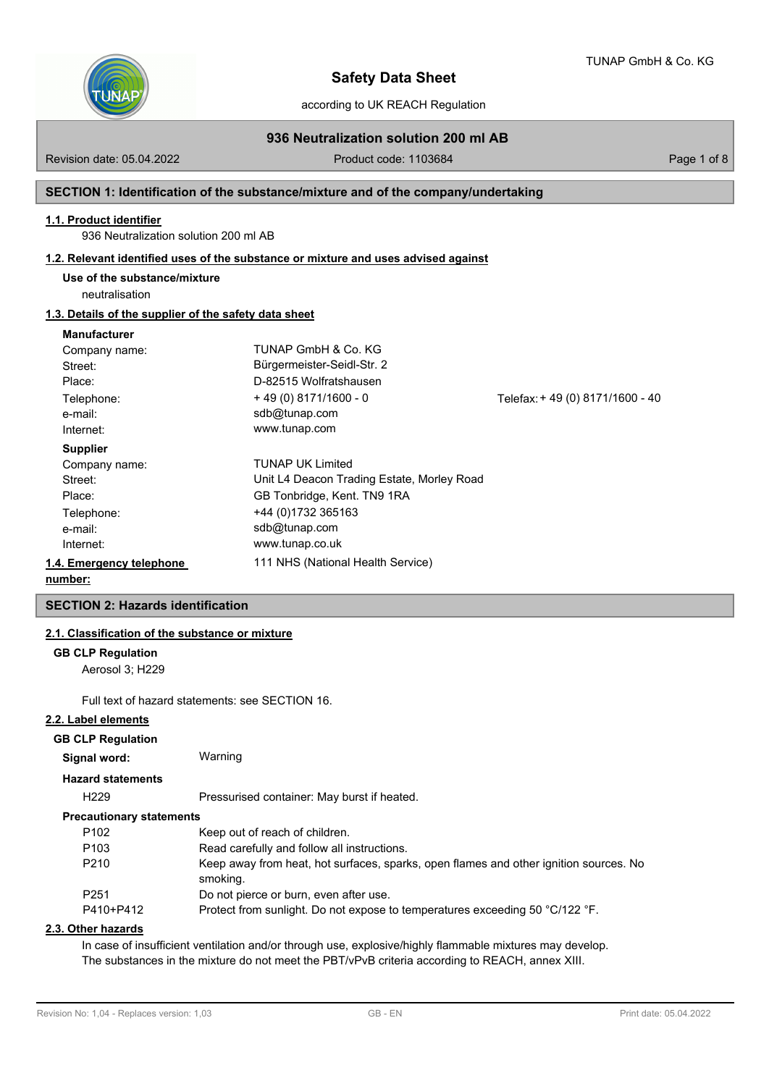

according to UK REACH Regulation

# **936 Neutralization solution 200 ml AB**

Revision date: 05.04.2022 Product code: 1103684 Page 1 of 8

## **SECTION 1: Identification of the substance/mixture and of the company/undertaking**

### **1.1. Product identifier**

936 Neutralization solution 200 ml AB

#### **1.2. Relevant identified uses of the substance or mixture and uses advised against**

**Use of the substance/mixture**

neutralisation

## **1.3. Details of the supplier of the safety data sheet**

#### **Manufacturer**

| Company name:            | TUNAP GmbH & Co. KG                        |                                 |
|--------------------------|--------------------------------------------|---------------------------------|
| Street:                  | Bürgermeister-Seidl-Str. 2                 |                                 |
| Place:                   | D-82515 Wolfratshausen                     |                                 |
| Telephone:               | $+49(0)8171/1600 - 0$                      | Telefax: +49 (0) 8171/1600 - 40 |
| e-mail:                  | sdb@tunap.com                              |                                 |
| Internet:                | www.tunap.com                              |                                 |
| <b>Supplier</b>          |                                            |                                 |
| Company name:            | <b>TUNAP UK Limited</b>                    |                                 |
| Street:                  | Unit L4 Deacon Trading Estate, Morley Road |                                 |
| Place:                   | GB Tonbridge, Kent. TN9 1RA                |                                 |
| Telephone:               | +44 (0)1732 365163                         |                                 |
| e-mail:                  | sdb@tunap.com                              |                                 |
| Internet:                | www.tunap.co.uk                            |                                 |
| 1.4. Emergency telephone | 111 NHS (National Health Service)          |                                 |
| numbor:                  |                                            |                                 |

#### **number:**

## **SECTION 2: Hazards identification**

## **2.1. Classification of the substance or mixture**

#### **GB CLP Regulation**

Aerosol 3; H229

Full text of hazard statements: see SECTION 16.

#### **2.2. Label elements**

#### **GB CLP Regulation**

| Signal word:             | Warning |  |
|--------------------------|---------|--|
| <b>Hazard statements</b> |         |  |

H229 Pressurised container: May burst if heated.

## **Precautionary statements**

| P <sub>102</sub> | Keep out of reach of children.                                                                    |
|------------------|---------------------------------------------------------------------------------------------------|
| P <sub>103</sub> | Read carefully and follow all instructions.                                                       |
| P <sub>210</sub> | Keep away from heat, hot surfaces, sparks, open flames and other ignition sources. No<br>smoking. |
| P <sub>251</sub> | Do not pierce or burn, even after use.                                                            |
| P410+P412        | Protect from sunlight. Do not expose to temperatures exceeding 50 °C/122 °F.                      |

### **2.3. Other hazards**

In case of insufficient ventilation and/or through use, explosive/highly flammable mixtures may develop. The substances in the mixture do not meet the PBT/vPvB criteria according to REACH, annex XIII.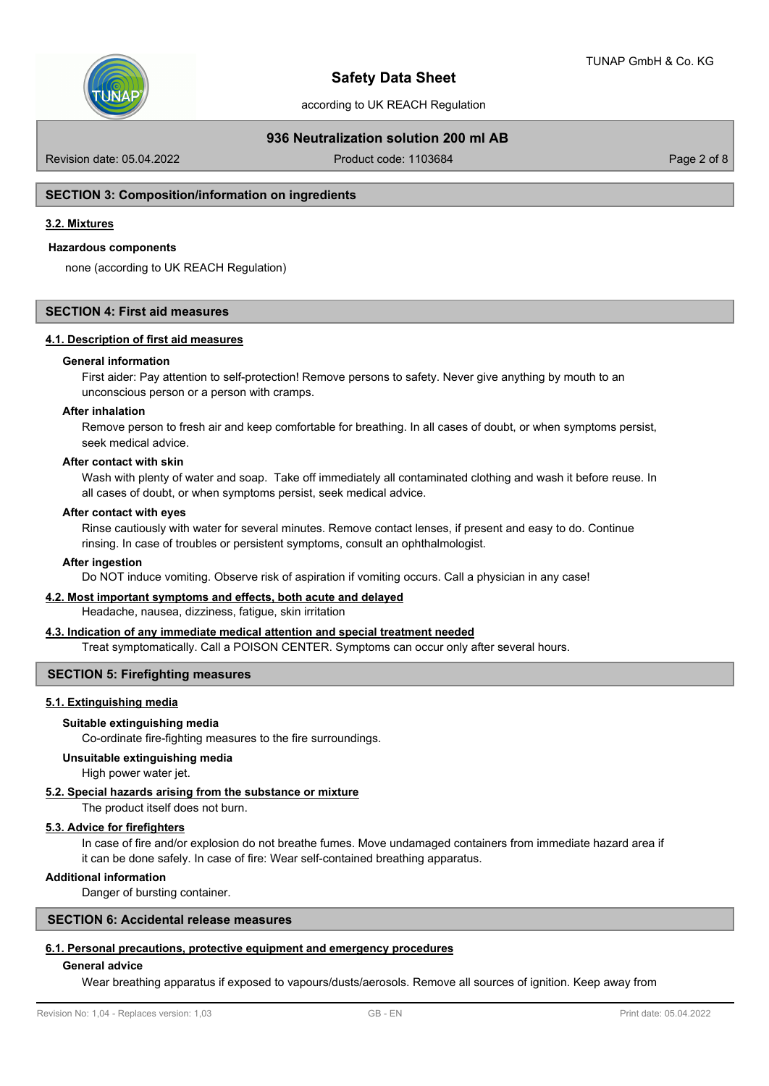

according to UK REACH Regulation

## **936 Neutralization solution 200 ml AB**

Revision date: 05.04.2022 Product code: 1103684 Page 2 of 8

#### **SECTION 3: Composition/information on ingredients**

### **3.2. Mixtures**

#### **Hazardous components**

none (according to UK REACH Regulation)

#### **SECTION 4: First aid measures**

#### **4.1. Description of first aid measures**

#### **General information**

First aider: Pay attention to self-protection! Remove persons to safety. Never give anything by mouth to an unconscious person or a person with cramps.

#### **After inhalation**

Remove person to fresh air and keep comfortable for breathing. In all cases of doubt, or when symptoms persist, seek medical advice.

#### **After contact with skin**

Wash with plenty of water and soap. Take off immediately all contaminated clothing and wash it before reuse. In all cases of doubt, or when symptoms persist, seek medical advice.

#### **After contact with eyes**

Rinse cautiously with water for several minutes. Remove contact lenses, if present and easy to do. Continue rinsing. In case of troubles or persistent symptoms, consult an ophthalmologist.

## **After ingestion**

Do NOT induce vomiting. Observe risk of aspiration if vomiting occurs. Call a physician in any case!

#### **4.2. Most important symptoms and effects, both acute and delayed**

Headache, nausea, dizziness, fatigue, skin irritation

## **4.3. Indication of any immediate medical attention and special treatment needed**

Treat symptomatically. Call a POISON CENTER. Symptoms can occur only after several hours.

### **SECTION 5: Firefighting measures**

#### **5.1. Extinguishing media**

#### **Suitable extinguishing media**

Co-ordinate fire-fighting measures to the fire surroundings.

## **Unsuitable extinguishing media**

High power water jet.

## **5.2. Special hazards arising from the substance or mixture**

The product itself does not burn.

## **5.3. Advice for firefighters**

In case of fire and/or explosion do not breathe fumes. Move undamaged containers from immediate hazard area if it can be done safely. In case of fire: Wear self-contained breathing apparatus.

## **Additional information**

Danger of bursting container.

## **SECTION 6: Accidental release measures**

## **6.1. Personal precautions, protective equipment and emergency procedures**

## **General advice**

Wear breathing apparatus if exposed to vapours/dusts/aerosols. Remove all sources of ignition. Keep away from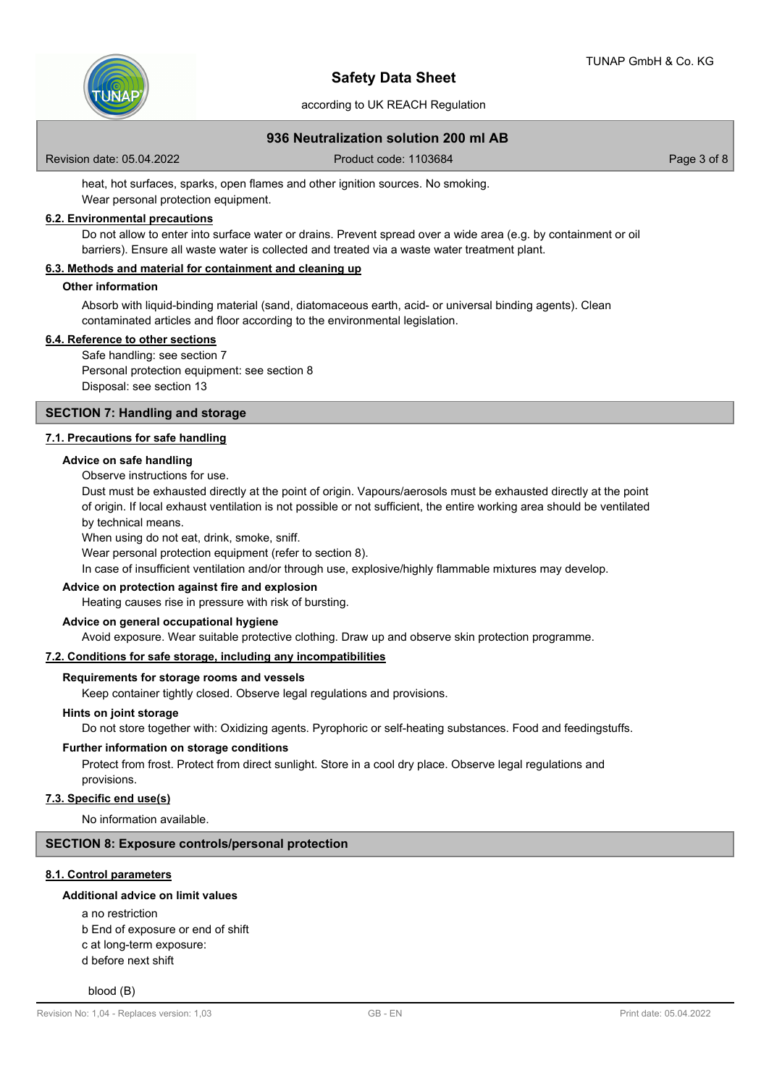

according to UK REACH Regulation

## **936 Neutralization solution 200 ml AB**

Revision date: 05.04.2022 Product code: 1103684 Page 3 of 8

heat, hot surfaces, sparks, open flames and other ignition sources. No smoking. Wear personal protection equipment.

## **6.2. Environmental precautions**

Do not allow to enter into surface water or drains. Prevent spread over a wide area (e.g. by containment or oil barriers). Ensure all waste water is collected and treated via a waste water treatment plant.

### **6.3. Methods and material for containment and cleaning up**

### **Other information**

Absorb with liquid-binding material (sand, diatomaceous earth, acid- or universal binding agents). Clean contaminated articles and floor according to the environmental legislation.

#### **6.4. Reference to other sections**

Safe handling: see section 7

Personal protection equipment: see section 8 Disposal: see section 13

## **SECTION 7: Handling and storage**

#### **7.1. Precautions for safe handling**

#### **Advice on safe handling**

Observe instructions for use.

Dust must be exhausted directly at the point of origin. Vapours/aerosols must be exhausted directly at the point of origin. If local exhaust ventilation is not possible or not sufficient, the entire working area should be ventilated by technical means.

When using do not eat, drink, smoke, sniff.

Wear personal protection equipment (refer to section 8).

In case of insufficient ventilation and/or through use, explosive/highly flammable mixtures may develop.

#### **Advice on protection against fire and explosion**

Heating causes rise in pressure with risk of bursting.

#### **Advice on general occupational hygiene**

Avoid exposure. Wear suitable protective clothing. Draw up and observe skin protection programme.

#### **7.2. Conditions for safe storage, including any incompatibilities**

## **Requirements for storage rooms and vessels**

Keep container tightly closed. Observe legal regulations and provisions.

#### **Hints on joint storage**

Do not store together with: Oxidizing agents. Pyrophoric or self-heating substances. Food and feedingstuffs.

#### **Further information on storage conditions**

Protect from frost. Protect from direct sunlight. Store in a cool dry place. Observe legal regulations and provisions.

#### **7.3. Specific end use(s)**

No information available.

## **SECTION 8: Exposure controls/personal protection**

### **8.1. Control parameters**

#### **Additional advice on limit values**

- a no restriction
- b End of exposure or end of shift
- c at long-term exposure:
- d before next shift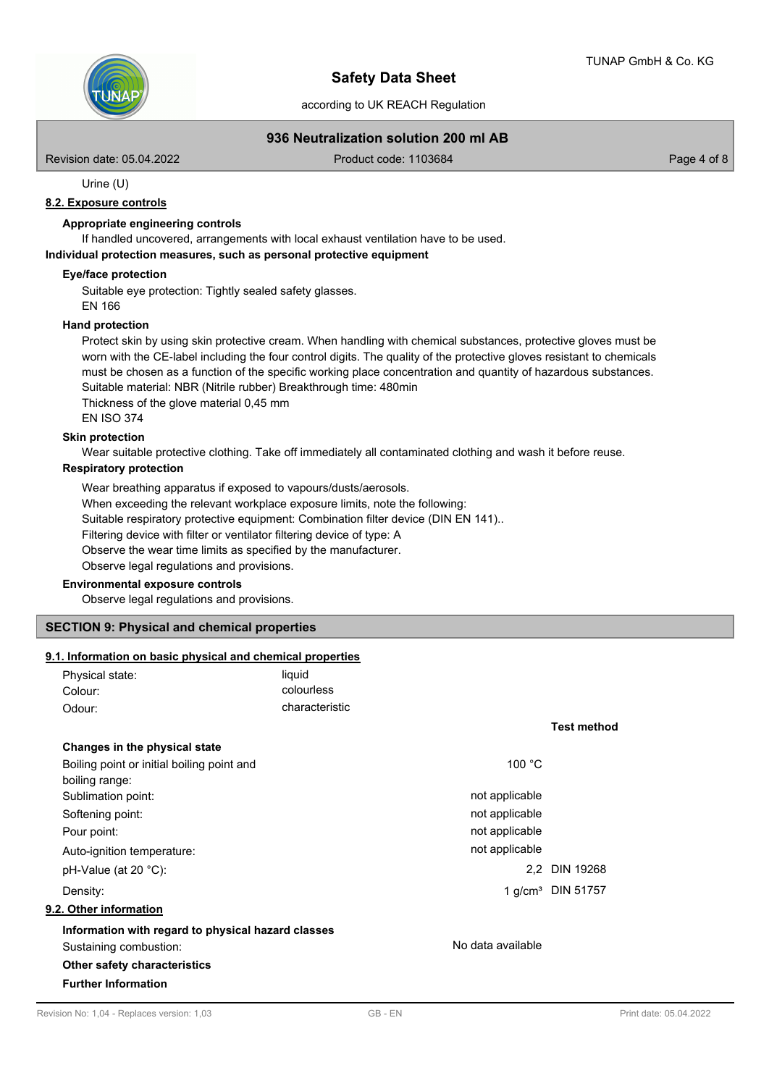

according to UK REACH Regulation

## **936 Neutralization solution 200 ml AB**

Revision date: 05.04.2022 Product code: 1103684 Page 4 of 8

Urine (U)

## **8.2. Exposure controls**

### **Appropriate engineering controls**

If handled uncovered, arrangements with local exhaust ventilation have to be used.

**Individual protection measures, such as personal protective equipment**

### **Eye/face protection**

Suitable eye protection: Tightly sealed safety glasses.

EN 166

### **Hand protection**

Protect skin by using skin protective cream. When handling with chemical substances, protective gloves must be worn with the CE-label including the four control digits. The quality of the protective gloves resistant to chemicals must be chosen as a function of the specific working place concentration and quantity of hazardous substances. Suitable material: NBR (Nitrile rubber) Breakthrough time: 480min Thickness of the glove material 0,45 mm

EN ISO 374

## **Skin protection**

Wear suitable protective clothing. Take off immediately all contaminated clothing and wash it before reuse.

### **Respiratory protection**

Wear breathing apparatus if exposed to vapours/dusts/aerosols. When exceeding the relevant workplace exposure limits, note the following: Suitable respiratory protective equipment: Combination filter device (DIN EN 141).. Filtering device with filter or ventilator filtering device of type: A Observe the wear time limits as specified by the manufacturer. Observe legal regulations and provisions.

### **Environmental exposure controls**

Observe legal regulations and provisions.

## **SECTION 9: Physical and chemical properties**

#### **9.1. Information on basic physical and chemical properties**

| Physical state: | liauid         |
|-----------------|----------------|
| Colour:         | colourless     |
| Odour:          | characteristic |

# **Changes in the physical state** Boiling point or initial boiling point and 100 °C boiling range: Sublimation point: not applicable to the state of the state of applicable to the state of the state of the state of the state of the state of the state of the state of the state of the state of the state of the state of th Softening point: not applicable that the state of the state of the state of the state of the state of the state of the state of the state of the state of the state of the state of the state of the state of the state of the Pour point: not applicable that the contract of the contract of the contract of the contract of the contract of the contract of the contract of the contract of the contract of the contract of the contract of the contract o Auto-ignition temperature:  $\qquad \qquad$  Nuto-ignition temperature: pH-Value (at 20 °C): 2,2 DIN 19268 Density: 1 g/cm³ DIN 51757 **9.2. Other information Information with regard to physical hazard classes** Sustaining combustion: No data available **Other safety characteristics**

## **Further Information**

**Test method**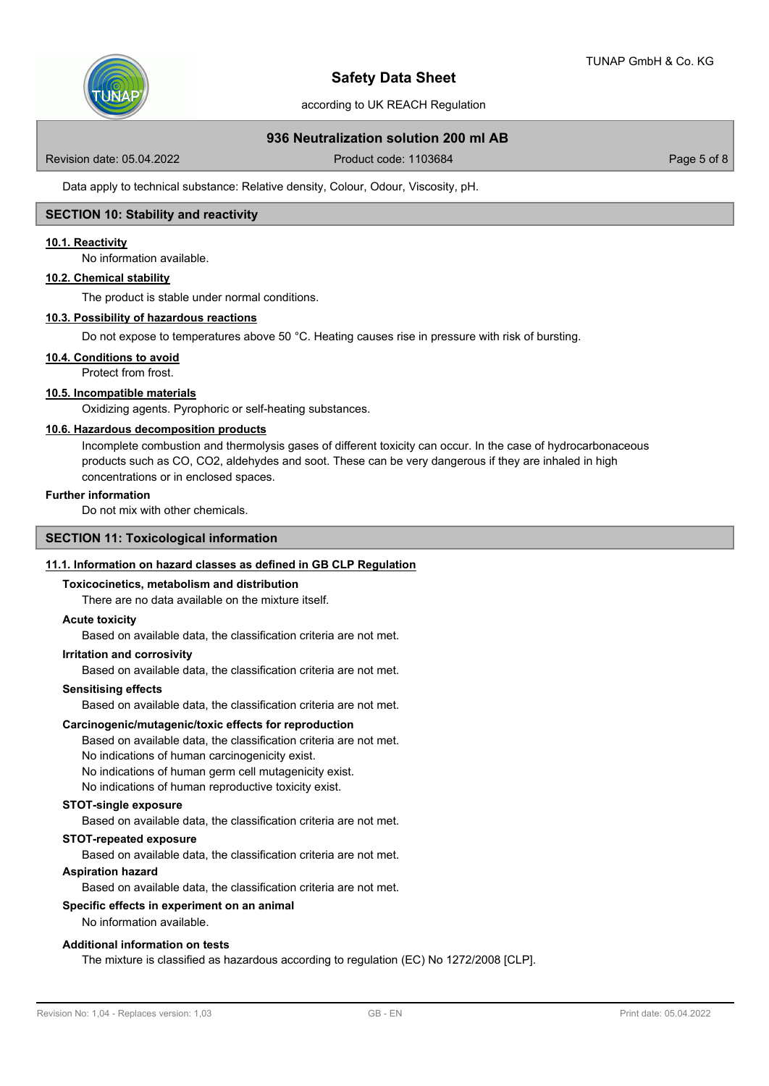

according to UK REACH Regulation

## **936 Neutralization solution 200 ml AB**

Revision date: 05.04.2022 Product code: 1103684 Page 5 of 8

Data apply to technical substance: Relative density, Colour, Odour, Viscosity, pH.

## **SECTION 10: Stability and reactivity**

### **10.1. Reactivity**

No information available.

#### **10.2. Chemical stability**

The product is stable under normal conditions.

#### **10.3. Possibility of hazardous reactions**

Do not expose to temperatures above 50 °C. Heating causes rise in pressure with risk of bursting.

**10.4. Conditions to avoid**

Protect from frost.

## **10.5. Incompatible materials**

Oxidizing agents. Pyrophoric or self-heating substances.

#### **10.6. Hazardous decomposition products**

Incomplete combustion and thermolysis gases of different toxicity can occur. In the case of hydrocarbonaceous products such as CO, CO2, aldehydes and soot. These can be very dangerous if they are inhaled in high concentrations or in enclosed spaces.

#### **Further information**

Do not mix with other chemicals.

## **SECTION 11: Toxicological information**

### **11.1. Information on hazard classes as defined in GB CLP Regulation**

#### **Toxicocinetics, metabolism and distribution**

There are no data available on the mixture itself.

#### **Acute toxicity**

Based on available data, the classification criteria are not met.

#### **Irritation and corrosivity**

Based on available data, the classification criteria are not met.

### **Sensitising effects**

Based on available data, the classification criteria are not met.

#### **Carcinogenic/mutagenic/toxic effects for reproduction**

Based on available data, the classification criteria are not met. No indications of human carcinogenicity exist.

No indications of human germ cell mutagenicity exist.

No indications of human reproductive toxicity exist.

## **STOT-single exposure**

Based on available data, the classification criteria are not met.

#### **STOT-repeated exposure**

Based on available data, the classification criteria are not met.

#### **Aspiration hazard**

Based on available data, the classification criteria are not met.

## **Specific effects in experiment on an animal**

# No information available.

## **Additional information on tests**

The mixture is classified as hazardous according to regulation (EC) No 1272/2008 [CLP].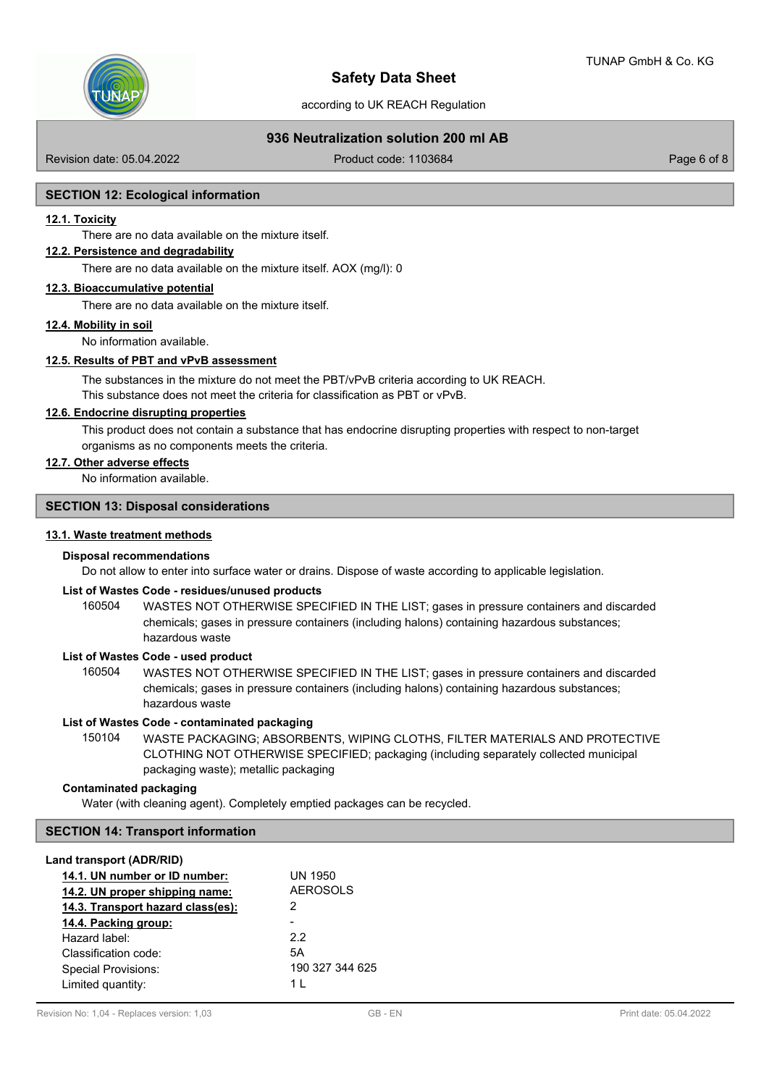

according to UK REACH Regulation

## **936 Neutralization solution 200 ml AB**

Revision date: 05.04.2022 Product code: 1103684 Page 6 of 8

#### **SECTION 12: Ecological information**

#### **12.1. Toxicity**

There are no data available on the mixture itself.

## **12.2. Persistence and degradability**

There are no data available on the mixture itself. AOX (mg/l): 0

## **12.3. Bioaccumulative potential**

There are no data available on the mixture itself.

### **12.4. Mobility in soil**

No information available.

## **12.5. Results of PBT and vPvB assessment**

The substances in the mixture do not meet the PBT/vPvB criteria according to UK REACH. This substance does not meet the criteria for classification as PBT or vPvB.

## **12.6. Endocrine disrupting properties**

This product does not contain a substance that has endocrine disrupting properties with respect to non-target organisms as no components meets the criteria.

### **12.7. Other adverse effects**

No information available.

#### **SECTION 13: Disposal considerations**

### **13.1. Waste treatment methods**

## **Disposal recommendations**

Do not allow to enter into surface water or drains. Dispose of waste according to applicable legislation.

#### **List of Wastes Code - residues/unused products**

160504 WASTES NOT OTHERWISE SPECIFIED IN THE LIST; gases in pressure containers and discarded chemicals; gases in pressure containers (including halons) containing hazardous substances; hazardous waste

## **List of Wastes Code - used product**

WASTES NOT OTHERWISE SPECIFIED IN THE LIST; gases in pressure containers and discarded chemicals; gases in pressure containers (including halons) containing hazardous substances; hazardous waste 160504

### **List of Wastes Code - contaminated packaging**

WASTE PACKAGING; ABSORBENTS, WIPING CLOTHS, FILTER MATERIALS AND PROTECTIVE CLOTHING NOT OTHERWISE SPECIFIED; packaging (including separately collected municipal packaging waste); metallic packaging 150104

## **Contaminated packaging**

Water (with cleaning agent). Completely emptied packages can be recycled.

### **SECTION 14: Transport information**

## **Land transport (ADR/RID)**

| 14.1. UN number or ID number:     | UN 1950         |
|-----------------------------------|-----------------|
| 14.2. UN proper shipping name:    | <b>AEROSOLS</b> |
| 14.3. Transport hazard class(es): | 2               |
| 14.4. Packing group:              |                 |
| Hazard label:                     | 22              |
| Classification code:              | 5A              |
| Special Provisions:               | 190 327 344 625 |
| Limited quantity:                 | 1 I             |
|                                   |                 |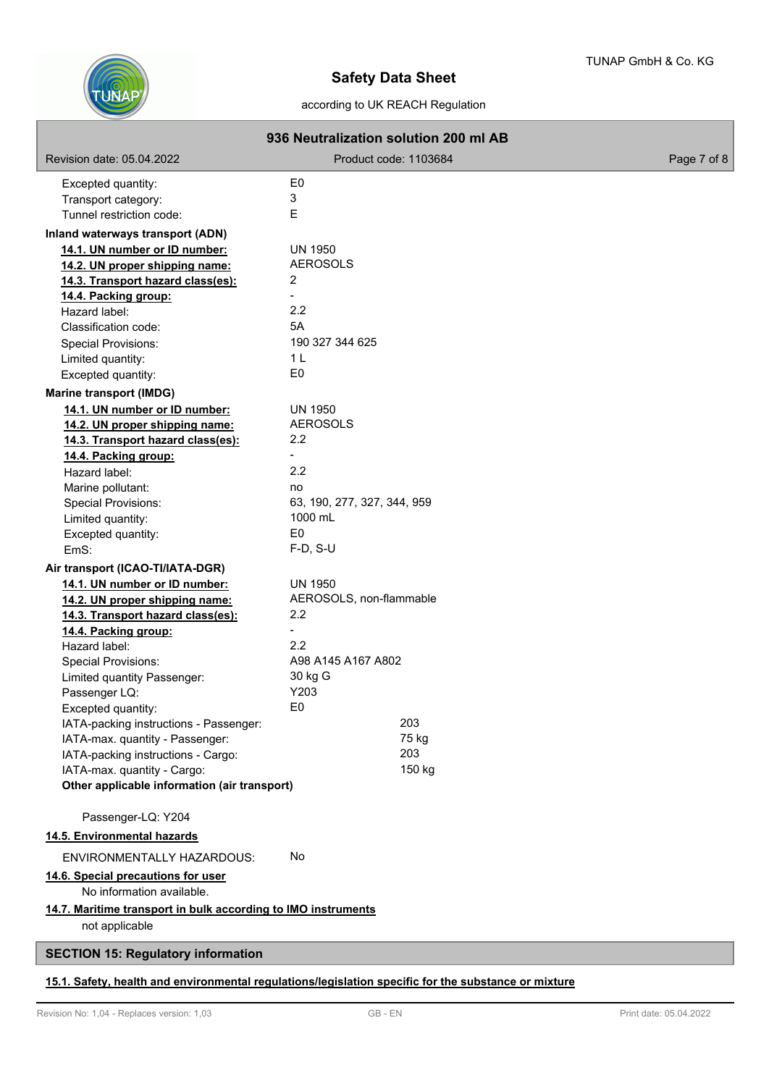

## according to UK REACH Regulation

| 936 Neutralization solution 200 ml AB                           |                             |             |
|-----------------------------------------------------------------|-----------------------------|-------------|
| Revision date: 05.04.2022                                       | Product code: 1103684       | Page 7 of 8 |
| Excepted quantity:                                              | E0                          |             |
| Transport category:                                             | 3                           |             |
| Tunnel restriction code:                                        | E                           |             |
| Inland waterways transport (ADN)                                |                             |             |
| 14.1. UN number or ID number:                                   | <b>UN 1950</b>              |             |
| 14.2. UN proper shipping name:                                  | <b>AEROSOLS</b>             |             |
| 14.3. Transport hazard class(es):                               | $\overline{2}$              |             |
| 14.4. Packing group:                                            |                             |             |
| Hazard label:                                                   | 2.2                         |             |
| Classification code:                                            | 5A                          |             |
| <b>Special Provisions:</b>                                      | 190 327 344 625             |             |
| Limited quantity:                                               | 1 <sub>L</sub>              |             |
| Excepted quantity:                                              | E <sub>0</sub>              |             |
| <b>Marine transport (IMDG)</b>                                  |                             |             |
| 14.1. UN number or ID number:                                   | <b>UN 1950</b>              |             |
| 14.2. UN proper shipping name:                                  | <b>AEROSOLS</b>             |             |
| 14.3. Transport hazard class(es):                               | 2.2                         |             |
| 14.4. Packing group:                                            |                             |             |
| Hazard label:                                                   | 2.2                         |             |
| Marine pollutant:                                               | no                          |             |
| Special Provisions:                                             | 63, 190, 277, 327, 344, 959 |             |
| Limited quantity:                                               | 1000 mL                     |             |
| Excepted quantity:                                              | E <sub>0</sub>              |             |
| EmS:                                                            | $F-D, S-U$                  |             |
| Air transport (ICAO-TI/IATA-DGR)                                |                             |             |
| 14.1. UN number or ID number:                                   | <b>UN 1950</b>              |             |
| 14.2. UN proper shipping name:                                  | AEROSOLS, non-flammable     |             |
| 14.3. Transport hazard class(es):                               | $2.2^{\circ}$               |             |
| 14.4. Packing group:                                            |                             |             |
| Hazard label:                                                   | 2.2                         |             |
| <b>Special Provisions:</b>                                      | A98 A145 A167 A802          |             |
| Limited quantity Passenger:                                     | 30 kg G                     |             |
| Passenger LQ:                                                   | Y203                        |             |
| Excepted quantity:                                              | E <sub>0</sub>              |             |
| IATA-packing instructions - Passenger:                          | 203                         |             |
| IATA-max. quantity - Passenger:                                 | 75 kg                       |             |
| IATA-packing instructions - Cargo:                              | 203                         |             |
| IATA-max. quantity - Cargo:                                     | 150 kg                      |             |
| Other applicable information (air transport)                    |                             |             |
|                                                                 |                             |             |
| Passenger-LQ: Y204<br>14.5. Environmental hazards               |                             |             |
| ENVIRONMENTALLY HAZARDOUS:                                      | No                          |             |
|                                                                 |                             |             |
| 14.6. Special precautions for user<br>No information available. |                             |             |
| 14.7. Maritime transport in bulk according to IMO instruments   |                             |             |
| not applicable                                                  |                             |             |
| <b>SECTION 15: Regulatory information</b>                       |                             |             |

## **15.1. Safety, health and environmental regulations/legislation specific for the substance or mixture**